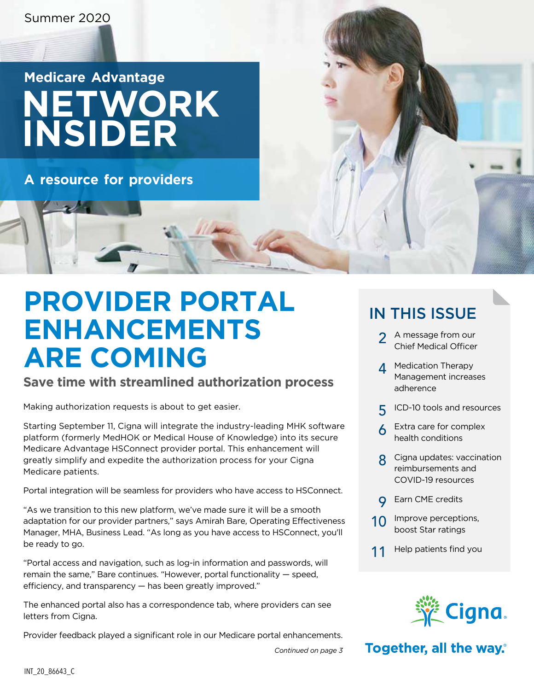# **Medicare Advantage NETWORK INSIDER**

**A resource for providers**

# **PROVIDER PORTAL ENHANCEMENTS ARE COMING**

#### **Save time with streamlined authorization process**

Making authorization requests is about to get easier.

Starting September 11, Cigna will integrate the industry-leading MHK software platform (formerly MedHOK or Medical House of Knowledge) into its secure Medicare Advantage HSConnect provider portal. This enhancement will greatly simplify and expedite the authorization process for your Cigna Medicare patients.

Portal integration will be seamless for providers who have access to HSConnect.

"As we transition to this new platform, we've made sure it will be a smooth adaptation for our provider partners," says Amirah Bare, Operating Effectiveness Manager, MHA, Business Lead. "As long as you have access to HSConnect, you'll be ready to go.

"Portal access and navigation, such as log-in information and passwords, will remain the same," Bare continues. "However, portal functionality — speed, efficiency, and transparency — has been greatly improved."

The enhanced portal also has a correspondence tab, where providers can see letters from Cigna.

Provider feedback played a significant role in our Medicare portal enhancements.

### IN THIS ISSUE

- [2](#page-1-0) A message from our Chief Medical Officer
- A Medication Therapy Management increases adherence
- [5](#page-2-0) ICD-10 tools and resources
- [6](#page-3-0) Extra care for complex health conditions
- [8](#page-4-0) Cigna updates: vaccination reimbursements and COVID-19 resources
- **Q** Earn CME credits
- [10](#page-5-0) Improve perceptions, boost Star ratings
- [11](#page-5-0) Help patients find you



#### Together, all the way.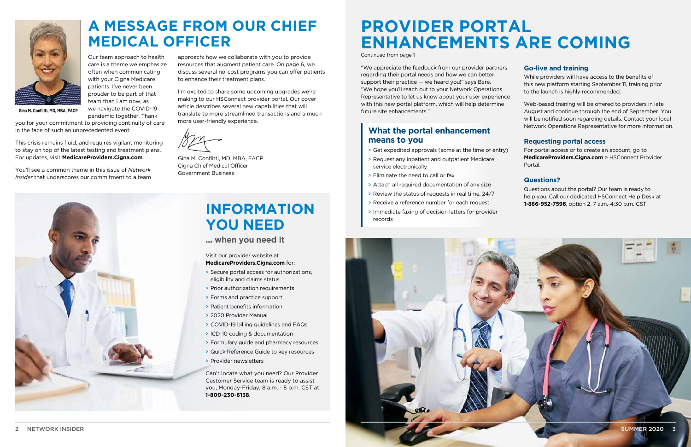

# **PROVIDER PORTAL ENHANCEMENTS ARE COMING**

Continued from page 1

**A MESSAGE FROM OUR CHIEF MEDICAL OFFICER**

Our team approach to health care is a theme we emphasize often when communicating with your Cigna Medicare patients. I've never been prouder to be part of that team than I am now, as we navigate the COVID-19

pandemic together. Thank you for your commitment to providing continuity of care in the face of such an unprecedented event.

This crisis remains fluid, and requires vigilant monitoring to stay on top of the latest testing and treatment plans. For updates, visit **[MedicareProviders.Cigna.com](http://MedicareProviders.Cigna.com)**.

You'll see a common theme in this issue of *Network Insider* that underscores our commitment to a team



approach: how we collaborate with you to provide resources that augment patient care. On [page 6,](#page-3-0) we discuss several no-cost programs you can offer patients to enhance their treatment plans.

I'm excited to share some upcoming upgrades we're making to our HSConnect provider portal. Our cover article describes several new capabilities that will translate to more streamlined transactions and a much more user-friendly experience.

Gina M. Conflitti, MD, MBA, FACP Cigna Chief Medical Officer Government Business

<span id="page-1-0"></span>

**Gina M. Conflitti, MD, MBA, FACP**

"We appreciate the feedback from our provider partners regarding their portal needs and how we can better support their practice  $-$  we heard you!" says Bare. "We hope you'll reach out to your Network Operations Representative to let us know about your user experience with this new portal platform, which will help determine future site enhancements."

#### **Go-live and training**

While providers will have access to the benefits of this new platform starting September 11, training prior to the launch is highly recommended.

Web-based training will be offered to providers in late August and continue through the end of September. You will be notified soon regarding details. Contact your local Network Operations Representative for more information.

#### **Requesting portal access**

For portal access or to create an account, go to **[MedicareProviders.Cigna.com](http://MedicareProviders.Cigna.com)** > HSConnect Provider Portal.

#### **Questions?**

Questions about the portal? Our team is ready to help you. Call our dedicated HSConnect Help Desk at **1-866-952-7596**, option 2, 7 a.m.-4:30 p.m. CST.

# **INFORMATION YOU NEED**

**... when you need it**

Visit our provider website at **[MedicareProviders.Cigna.com](https://medicareproviders.cigna.com/)** for:

- > Secure portal access for authorizations, eligibility and claims status
- > Prior authorization requirements
- > Forms and practice support
- > Patient benefits information
- > 2020 Provider Manual
- > COVID-19 billing guidelines and FAQs
- > ICD-10 coding & documentation
- > Formulary guide and pharmacy resources
- > Quick Reference Guide to key resources
- > Provider newsletters

Can't locate what you need? Our Provider Customer Service team is ready to assist you, Monday-Friday, 8 a.m. - 5 p.m. CST at **1-800-230-6138**.

#### **What the portal enhancement means to you**

- > Get expedited approvals (some at the time of entry)
- > Request any inpatient and outpatient Medicare service electronically
- > Eliminate the need to call or fax
- > Attach all required documentation of any size
- > Review the status of requests in real time, 24/7
- > Receive a reference number for each request
- > Immediate faxing of decision letters for provider records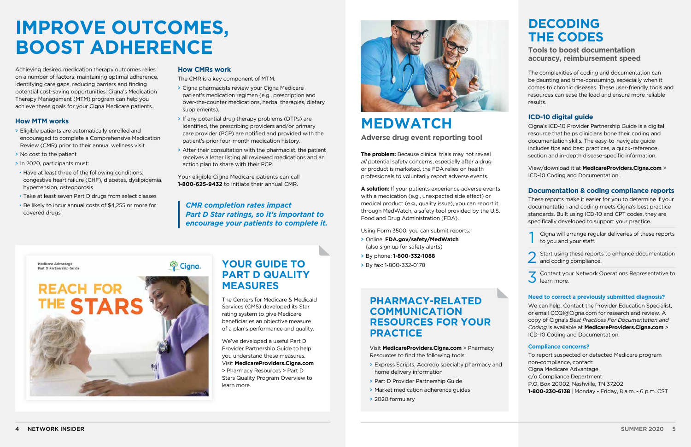## **MEDWATCH Adverse drug event reporting tool**

**The problem:** Because clinical trials may not reveal *all* potential safety concerns, especially after a drug or product is marketed, the FDA relies on health professionals to voluntarily report adverse events.

**A solution:** If your patients experience adverse events with a medication (e.g., unexpected side effect) or medical product (e.g., quality issue), you can report it through MedWatch, a safety tool provided by the U.S. Food and Drug Administration (FDA).

Using Form 3500, you can submit reports:

- > Online: **[FDA.gov/safety/MedWatch](https://www.fda.gov/safety/medwatch-fda-safety-information-and-adverse-event-reporting-program)** (also sign up for safety alerts)
- > By phone: **1-800-332-1088**
- > By fax: 1-800-332-0178

## **DECODING THE CODES**

#### **Tools to boost documentation accuracy, reimbursement speed**

The complexities of coding and documentation can be daunting and time-consuming, especially when it comes to chronic diseases. These user-friendly tools and resources can ease the load and ensure more reliable results.

- Cigna will arrange regular deliveries of these reports to you and your staff.
- Start using these reports to enhance documentation and coding compliance.
- Contact your Network Operations Representative to learn more.

#### **ICD-10 digital guide**

Cigna's ICD-10 Provider Partnership Guide is a digital resource that helps clinicians hone their coding and documentation skills. The easy-to-navigate guide includes tips and best practices, a quick-reference section and in-depth disease-specific information.

View/download it at **[MedicareProviders.Cigna.com](http://MedicareProviders.Cigna.com)** > ICD-10 Coding and Documentation..

#### **Documentation & coding compliance reports**

These reports make it easier for you to determine if your documentation and coding meets Cigna's best practice standards. Built using ICD-10 and CPT codes, they are specifically developed to support your practice.

#### **Need to correct a previously submitted diagnosis?**

We can help. Contact the Provider Education Specialist, or email [CCQI@Cigna.com](mailto:CCQI@Cigna.com) for research and review. A copy of Cigna's *Best Practices For Documentation and Coding* is available at **[MedicareProviders.Cigna.com](http://MedicareProviders.Cigna.com/ICD-10)** > ICD-10 Coding and Documentation.

#### **Compliance concerns?**

To report suspected or detected Medicare program non-compliance, contact: Cigna Medicare Advantage c/o Compliance Department P.O. Box 20002, Nashville, TN 37202 **1-800-230-6138** | Monday - Friday, 8 a.m. - 6 p.m. CST

# <span id="page-2-0"></span>**IMPROVE OUTCOMES, BOOST ADHERENCE**

Achieving desired medication therapy outcomes relies on a number of factors: maintaining optimal adherence, identifying care gaps, reducing barriers and finding potential cost-saving opportunities. Cigna's Medication Therapy Management (MTM) program can help you achieve these goals for your Cigna Medicare patients.

#### **How MTM works**

- > Eligible patients are automatically enrolled and encouraged to complete a Comprehensive Medication Review (CMR) prior to their annual wellness visit
- > No cost to the patient
- > In 2020, participants must:
- Have at least three of the following conditions: congestive heart failure (CHF), diabetes, dyslipidemia, hypertension, osteoporosis
- Take at least seven Part D drugs from select classes
- Be likely to incur annual costs of \$4,255 or more for covered drugs

#### **How CMRs work**

堂 Cigna.

The CMR is a key component of MTM:

- > Cigna pharmacists review your Cigna Medicare patient's medication regimen (e.g., prescription and over-the-counter medications, herbal therapies, dietary supplements).
- > If any potential drug therapy problems (DTPs) are identified, the prescribing providers and/or primary care provider (PCP) are notified and provided with the patient's prior four-month medication history.
- > After their consultation with the pharmacist, the patient receives a letter listing all reviewed medications and an action plan to share with their PCP.

Your eligible Cigna Medicare patients can call **1-800-625-9432** to initiate their annual CMR.

#### *CMR completion rates impact Part D Star ratings, so it's important to encourage your patients to complete it.*

Medicare Advantage Part D Partnership Guide



### **PHARMACY-RELATED COMMUNICATION RESOURCES FOR YOUR PRACTICE**

Visit **[MedicareProviders.Cigna.com](https://medicareproviders.cigna.com/)** > Pharmacy Resources to find the following tools:

- > Express Scripts, Accredo specialty pharmacy and home delivery information
- > Part D Provider Partnership Guide
- > Market medication adherence guides
- > 2020 formulary

### **YOUR GUIDE TO PART D QUALITY MEASURES**

The Centers for Medicare & Medicaid Services (CMS) developed its Star rating system to give Medicare beneficiaries an objective measure of a plan's performance and quality.

We've developed a useful Part D Provider Partnership Guide to help you understand these measures. Visit **[MedicareProviders.Cigna.com](http://MedicareProviders.Cigna.com)** > Pharmacy Resources > Part D Stars Quality Program Overview to learn more.

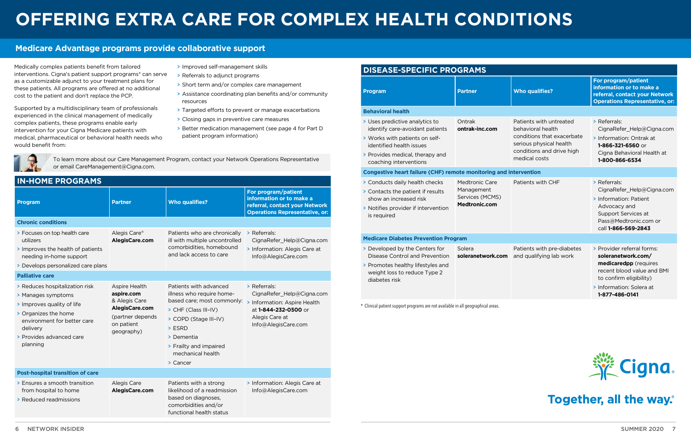# <span id="page-3-0"></span>**OFFERING EXTRA CARE FOR COMPLEX HEALTH CONDITIONS**

#### **Medicare Advantage programs provide collaborative support**

Medically complex patients benefit from tailored interventions. Cigna's patient support programs\* can serve as a customizable adjunct to your treatment plans for these patients. All programs are offered at no additional cost to the patient and don't replace the PCP.

Supported by a multidisciplinary team of professionals experienced in the clinical management of medically complex patients, these programs enable early intervention for your Cigna Medicare patients with medical, pharmaceutical or behavioral health needs who would benefit from:

- > Improved self-management skills
- > Referrals to adjunct programs
- > Short term and/or complex care management
- > Assistance coordinating plan benefits and/or community resources
- > Targeted efforts to prevent or manage exacerbations
- > Closing gaps in preventive care measures
- > Better medication management (see [page 4](#page-2-0) for Part D patient program information)



| <b>IN-HOME PROGRAMS</b>                                                                                                                                                                       |                                                                                                                |                                                                                                                                                                                                                         |                                                                                                                                            |  |  |
|-----------------------------------------------------------------------------------------------------------------------------------------------------------------------------------------------|----------------------------------------------------------------------------------------------------------------|-------------------------------------------------------------------------------------------------------------------------------------------------------------------------------------------------------------------------|--------------------------------------------------------------------------------------------------------------------------------------------|--|--|
| Program                                                                                                                                                                                       | <b>Partner</b>                                                                                                 | <b>Who qualifies?</b>                                                                                                                                                                                                   | For program/patient<br>information or to make a<br>referral, contact your Network<br><b>Operations Representative, or:</b>                 |  |  |
| <b>Chronic conditions</b>                                                                                                                                                                     |                                                                                                                |                                                                                                                                                                                                                         |                                                                                                                                            |  |  |
| > Focuses on top health care<br>utilizers<br>> Improves the health of patients<br>needing in-home support<br>> Develops personalized care plans                                               | Alegis Care®<br>AlegisCare.com                                                                                 | Patients who are chronically<br>ill with multiple uncontrolled<br>comorbidities, homebound<br>and lack access to care                                                                                                   | > Referrals:<br>CignaRefer_Help@Cigna.com<br>> Information: Alegis Care at<br>Info@AlegisCare.com                                          |  |  |
| <b>Palliative care</b>                                                                                                                                                                        |                                                                                                                |                                                                                                                                                                                                                         |                                                                                                                                            |  |  |
| > Reduces hospitalization risk<br>> Manages symptoms<br>> Improves quality of life<br>> Organizes the home<br>environment for better care<br>delivery<br>> Provides advanced care<br>planning | Aspire Health<br>aspire.com<br>& Alegis Care<br>AlegisCare.com<br>(partner depends<br>on patient<br>geography) | Patients with advanced<br>illness who require home-<br>based care; most commonly:<br>> CHF (Class III-IV)<br>> COPD (Stage III-IV)<br>$>$ ESRD<br>> Dementia<br>> Frailty and impaired<br>mechanical health<br>> Cancer | > Referrals:<br>CignaRefer_Help@Cigna.com<br>> Information: Aspire Health<br>at 1-844-232-0500 or<br>Alegis Care at<br>Info@AlegisCare.com |  |  |
| <b>Post-hospital transition of care</b>                                                                                                                                                       |                                                                                                                |                                                                                                                                                                                                                         |                                                                                                                                            |  |  |
| > Ensures a smooth transition<br>from hospital to home<br>> Reduced readmissions                                                                                                              | Alegis Care<br>AlegisCare.com                                                                                  | Patients with a strong<br>likelihood of a readmission<br>based on diagnoses,<br>comorbidities and/or<br>functional health status                                                                                        | > Information: Alegis Care at<br>Info@AlegisCare.com                                                                                       |  |  |

| <b>Who qualifies?</b>                                                                                                                               | For program/patient<br>information or to make a<br>referral, contact your Network<br><b>Operations Representative, or:</b>                                                       |
|-----------------------------------------------------------------------------------------------------------------------------------------------------|----------------------------------------------------------------------------------------------------------------------------------------------------------------------------------|
|                                                                                                                                                     |                                                                                                                                                                                  |
| Patients with untreated<br>behavioral health<br>conditions that exacerbate<br>serious physical health<br>conditions and drive high<br>medical costs | > Referrals:<br>CignaRefer Help@Cigna.com<br>> Information: Ontrak at<br>1-866-321-6560 or<br>Cigna Behavioral Health at<br>1-800-866-6534                                       |
| intervention                                                                                                                                        |                                                                                                                                                                                  |
| Patients with CHF                                                                                                                                   | > Referrals:<br>CignaRefer_Help@Cigna.com<br>> Information: Patient<br>Advocacy and<br>Support Services at<br>Pass@Medtronic.com or<br>call 1-866-569-2843                       |
|                                                                                                                                                     |                                                                                                                                                                                  |
| Patients with pre-diabetes<br>and qualifying lab work                                                                                               | > Provider referral forms:<br>soleranetwork.com/<br>medicaredpp (requires<br>recent blood value and BMI<br>to confirm eligibility)<br>> Information: Solera at<br>1-877-486-0141 |



### Together, all the way.

#### **DISEASE-SPECIFIC PROGRAMS Program Partner Behavioral health** > Uses predictive analytics to identify care-avoidant patients > Works with patients on selfidentified health issues > Provides medical, therapy and coaching interventions Ontrak **[ontrak-inc.com](http://ontrak-inc.com) Congestive heart failure (CHF) remote monitoring and** > Conducts daily health checks > Contacts the patient if results show an increased risk > Notifies provider if intervention is required Medtronic Care Management Services (MCMS) **[Medtronic.com](https://www.medtronic.com/us-en/index.html) Medicare Diabetes Prevention Program** > Developed by the Centers for Disease Control and Prevention > Promotes healthy lifestyles and weight loss to reduce Type 2 diabetes risk Solera **[soleranetwork.com](http://soleranetwork.com)** \* Clinical patient support programs are not available in all geographical areas.

To learn more about our Care Management Program, contact your Network Operations Representative or email [CareManagement@Cigna.com.](mailto:CareManagement@Cigna.com)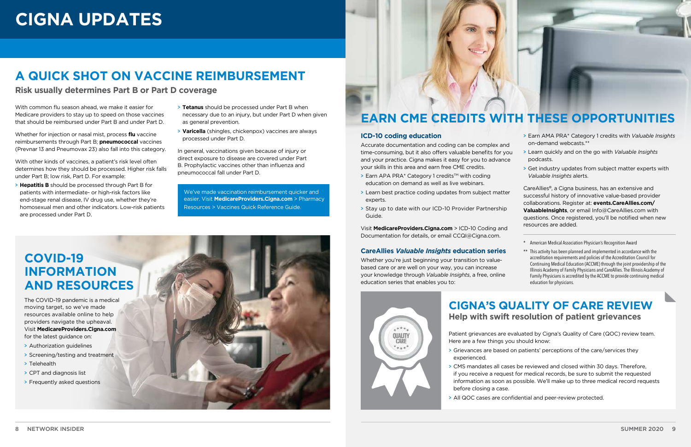## **A QUICK SHOT ON VACCINE REIMBURSEMENT**

**Risk usually determines Part B or Part D coverage**

With common flu season ahead, we make it easier for Medicare providers to stay up to speed on those vaccines that should be reimbursed under Part B and under Part D.

Whether for injection or nasal mist, process **flu** vaccine reimbursements through Part B; **pneumococcal** vaccines (Prevnar 13 and Pneumovax 23) also fall into this category.

With other kinds of vaccines, a patient's risk level often determines how they should be processed. Higher risk falls under Part B; low risk, Part D. For example:

> **Hepatitis B** should be processed through Part B for patients with intermediate- or high-risk factors like end-stage renal disease, IV drug use, whether they're homosexual men and other indicators. Low-risk patients are processed under Part D.

- $\triangleright$  Earn APA PRA\* Category 1 credits<sup>™</sup> with coding education on demand as well as live webinars.
- experts. Guide. CareAllies®, a Cigna business, has an extensive and successful history of innovative value-based provider collaborations. Register at: **events.CareAllies.com/ ValuableInsights**, or email [Info@CareAllies.com](mailto:info@CareAllies.com) with questions. Once registered, you'll be notified when new resources are added.
- > Learn best practice coding updates from subject matter > Stay up to date with our ICD-10 Provider Partnership
- > **Tetanus** should be processed under Part B when necessary due to an injury, but under Part D when given as general prevention.
- > **Varicella** (shingles, chickenpox) vaccines are always processed under Part D.

Whether you're just beginning your transition to valuebased care or are well on your way, you can increase your knowledge through *Valuable Insights*, a free, online education series that enables you to:



In general, vaccinations given because of injury or direct exposure to disease are covered under Part B. Prophylactic vaccines other than influenza and pneumococcal fall under Part D.

We've made vaccination reimbursement quicker and easier. Visit **[MedicareProviders.Cigna.com](https://medicareproviders.cigna.com/)** > Pharmacy Resources > Vaccines Quick Reference Guide.

# **EARN CME CREDITS WITH THESE OPPORTUNITIES**

#### **ICD-10 coding education**

Accurate documentation and coding can be complex and time-consuming, but it also offers valuable benefits for you and your practice. Cigna makes it easy for you to advance your skills in this area and earn free CME credits.

Visit **[MedicareProviders.Cigna.com](https://medicareproviders.cigna.com/)** > ICD-10 Coding and Documentation for details, or email [CCQI@Cigna.com](mailto:CCQI%40Cigna.com?subject=).

#### **CareAllies** *Valuable Insights* **education series**

- > Earn AMA PRA\* Category 1 credits with *Valuable Insights*  on-demand webcasts.\*\*
- > Learn quickly and on the go with *Valuable Insights* podcasts.
- > Get industry updates from subject matter experts with *Valuable Insights* alerts.

### **CIGNA'S QUALITY OF CARE REVIEW Help with swift resolution of patient grievances**

Here are a few things you should know:

> CMS mandates all cases be reviewed and closed within 30 days. Therefore, if you receive a request for medical records, be sure to submit the requested information as soon as possible. We'll make up to three medical record requests

- experienced.
- before closing a case.
- 

> All QOC cases are confidential and peer-review protected.

## **COVID-19 INFORMATION AND RESOURCES**

- \* American Medical Association Physician's Recognition Award
- \*\* This activity has been planned and implemented in accordance with the accreditation requirements and policies of the Accreditation Council for Continuing Medical Education (ACCME) through the joint providership of the Illinois Academy of Family Physicians and CareAllies. The Illinois Academy of Family Physicians is accredited by the ACCME to provide continuing medical education for physicians.
- Patient grievances are evaluated by Cigna's Quality of Care (QOC) review team.
- > Grievances are based on patients' perceptions of the care/services they

The COVID-19 pandemic is a medical moving target, so we've made resources available online to help providers navigate the upheaval. Visit **[MedicareProviders.Cigna.com](https://medicareproviders.cigna.com/)** for the latest guidance on:

- > Authorization guidelines
- > Screening/testing and treatment
- > Telehealth
- > CPT and diagnosis list
- > Frequently asked questions



# <span id="page-4-0"></span>**CIGNA UPDATES**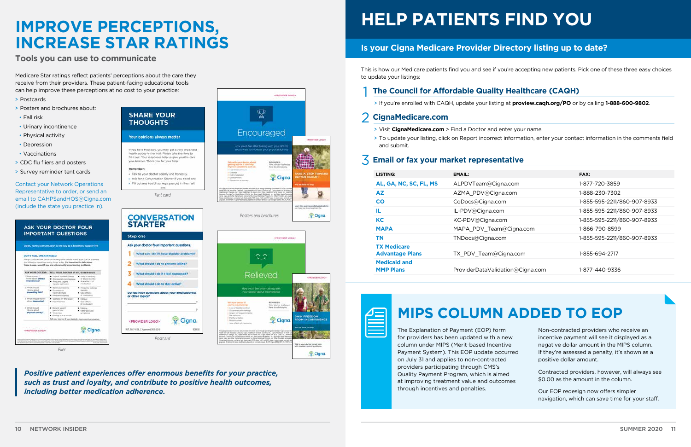# <span id="page-5-0"></span>**IMPROVE PERCEPTIONS, INCREASE STAR RATINGS**

Remember:

Step one

**Tools you can use to communicate**

Medicare Star ratings reflect patients' perceptions about the care they receive from their providers. These patient-facing educational tools can help improve these perceptions at no cost to your practice:

- > Postcards
- > Posters and brochures about:
- Fall risk
- Urinary incontinence
- Physical activity
- Depression
- Vaccinations
- > CDC flu fliers and posters
- > Survey reminder tent cards

Contact your Network Operations Representative to order, or send an email to [CAHPSandHOS@Cigna.com](mailto:Cahpsandhos@Cigna.com)  (include the state you practice in).

# **HELP PATIENTS FIND YOU**

### **Is your Cigna Medicare Provider Directory listing up to date?**

This is how our Medicare patients find you and see if you're accepting new patients. Pick one of these three easy choices to update your listings:

#### 1 **The Council for Affordable Quality Healthcare (CAQH)**

> If you're enrolled with CAQH, update your listing at **[proview.caqh.org/PO](https://proview.caqh.org/PO)** or by calling **1-888-600-9802**.

#### 2 **[CignaMedicare.com](http://CignaMedicare.com)**

- > Visit **[CignaMedicare.com](http://CignaMedicare.com)** > Find a Doctor and enter your name.
- and submit.

> To update your listing, click on Report incorrect information, enter your contact information in the comments field

| эM    |  |
|-------|--|
| /e    |  |
| ırred |  |
|       |  |
|       |  |
| d     |  |
| nes   |  |
|       |  |

### 3 **Email or fax your market representative**

*Positive patient experiences offer enormous benefits for your practice, such as trust and loyalty, and contribute to positive health outcomes, including better medication adherence.*

|                                                                                | Open, honest conversation is the key to a healthier, happier life.                                                                                                                                                        |                                                                                  |
|--------------------------------------------------------------------------------|---------------------------------------------------------------------------------------------------------------------------------------------------------------------------------------------------------------------------|----------------------------------------------------------------------------------|
| <b>DON'T FEEL EMBABRASSED.</b>                                                 | Hany conditions are common whong dider adults - and your doctor answers.<br>the following questions many times a day. It's important to talk about<br>these lasues - even if you are not currently experiencing problems. |                                                                                  |
| ASK YOUR DOCTOR:                                                               | <b>TELL YOUR DOCTOR IF YOU EXPERIENCE:</b>                                                                                                                                                                                |                                                                                  |
| 1. While should 1<br><b><i>Introv shout adming</i></b><br><b>Incontinence?</b> | Links of blankfor portray<br>Constitute in Galage<br>R. Frequent, unpers<br>trips to tailivealers                                                                                                                         | · Fortul unneting<br>- Or Bildeted Ah saction<br>C Side affairs of<br>medication |
| 2. What should<br>I love attack<br>preventing fata?                            | · Raisman productor<br>· Didutrees on<br>Walden changes<br>Pressure troping                                                                                                                                               | · Problems walking<br>- stanity<br>Scienthess<br>of masterstom                   |
| 3. IRFAM Mintrald I leminer<br>alan c depression?                              | · Sadruzzi or "the blues"<br>Discussionships                                                                                                                                                                              | · Fattgule<br>. Sale officers<br>Information to                                  |
| A What should<br>1 leisung atteint<br>Tytheling layons                         | · Recent emph<br>jan/A de Tolsa<br>* Wassington<br>. Fasting-out of breath.<br>Tell your doctor if you started a new exercise program.                                                                                    | <b>R. Futbook</b><br>Other physical<br><b>Euroscitorys</b>                       |
| «PROVIDER LOGO»                                                                |                                                                                                                                                                                                                           | Cigna.                                                                           |



Cigna

Cigna.

# **MIPS COLUMN ADDED TO EOP**

The Explanation of Payment (EOP) form for providers has been updated with a ne column under MIPS (Merit-based Incentiv Payment System). This EOP update occur on July 31 and applies to non-contracted providers participating through CMS's Quality Payment Program, which is aimed at improving treatment value and outcon through incentives and penalties.

Non-contracted providers who receive an incentive payment will see it displayed as a negative dollar amount in the MIPS column. If they're assessed a penalty, it's shown as a positive dollar amount.

Contracted providers, however, will always see \$0.00 as the amount in the column.

Our EOP redesign now offers simpler navigation, which can save time for your staff.

| LISTING:                                     | EMAIL:                           | FAX:                        |
|----------------------------------------------|----------------------------------|-----------------------------|
| AL, GA, NC, SC, FL, MS                       | ALPDVTeam@Cigna.com              | 1-877-720-3859              |
| <b>AZ</b>                                    | AZMA_PDV@Cigna.com               | 1-888-230-7302              |
| <b>CO</b>                                    | CoDocs@Cigna.com                 | 1-855-595-2211/860-907-8933 |
| IL                                           | IL-PDV@Cigna.com                 | 1-855-595-2211/860-907-8933 |
| <b>KC</b>                                    | KC-PDV@Cigna.com                 | 1-855-595-2211/860-907-8933 |
| <b>MAPA</b>                                  | MAPA_PDV_Team@Cigna.com          | 1-866-790-8599              |
| <b>TN</b>                                    | TNDocs@Cigna.com                 | 1-855-595-2211/860-907-8933 |
| <b>TX Medicare</b><br><b>Advantage Plans</b> | TX_PDV_Team@Cigna.com            | 1-855-694-2717              |
| <b>Medicaid and</b><br><b>MMP Plans</b>      | ProviderDataValidation@Cigna.com | 1-877-440-9336              |